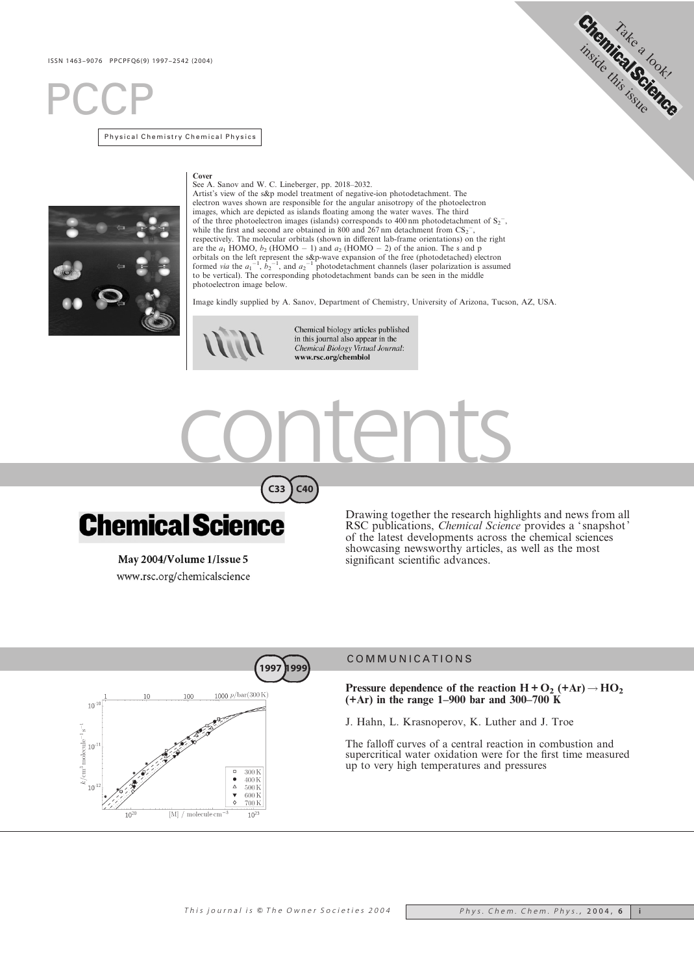# **PCCP**

Physical Chemistry Chemical Physics



#### Cover

See A. Sanov and W. C. Lineberger, pp. 2018–2032. Artist's view of the s&p model treatment of negative-ion photodetachment. The electron waves shown are responsible for the angular anisotropy of the photoelectron images, which are depicted as islands floating among the water waves. The third of the three photoelectron images (islands) corresponds to 400 nm photodetachment of  $S_2$ , while the first and second are obtained in 800 and 267 nm detachment from  $CS_2^-$ , respectively. The molecular orbitals (shown in different lab-frame orientations) on the right<br>are the  $a_1$  HOMO,  $b_2$  (HOMO – 1) and  $a_2$  (HOMO – 2) of the anion. The s and p<br>orbitals on the left represent the s&p-wave to be vertical). The corresponding photodetachment bands can be seen in the middle photoelectron image below.

Image kindly supplied by A. Sanov, Department of Chemistry, University of Arizona, Tucson, AZ, USA.



Chemical biology articles published<br>in this journal also appear in the Chemical Biology Virtual Journal: www.rsc.org/chembiol







May 2004/Volume 1/Issue 5 www.rsc.org/chemicalscience Drawing together the research highlights and news from all RSC publications, Chemical Science provides a ' snapshot' of the latest developments across the chemical sciences showcasing newsworthy articles, as well as the most significant scientific advances.

Shemica<sub>kea look</sub>

issue

this



## COMMUNICATIONS

Pressure dependence of the reaction  $H + O_2$  (+Ar)  $\rightarrow$  HO<sub>2</sub> (+Ar) in the range 1–900 bar and 300–700 K

J. Hahn, L. Krasnoperov, K. Luther and J. Troe

The falloff curves of a central reaction in combustion and supercritical water oxidation were for the first time measured up to very high temperatures and pressures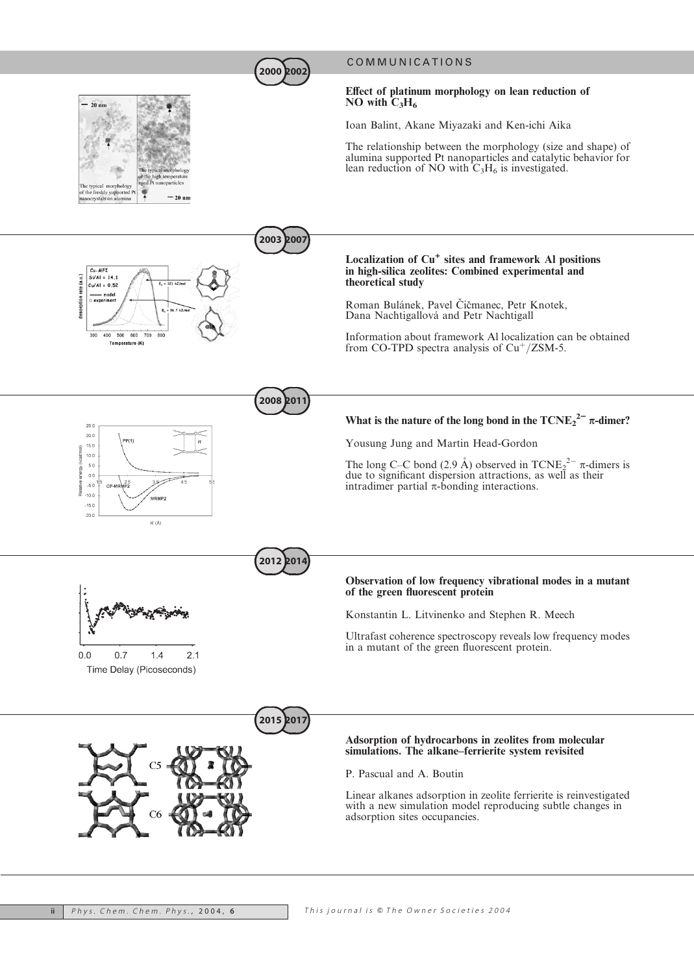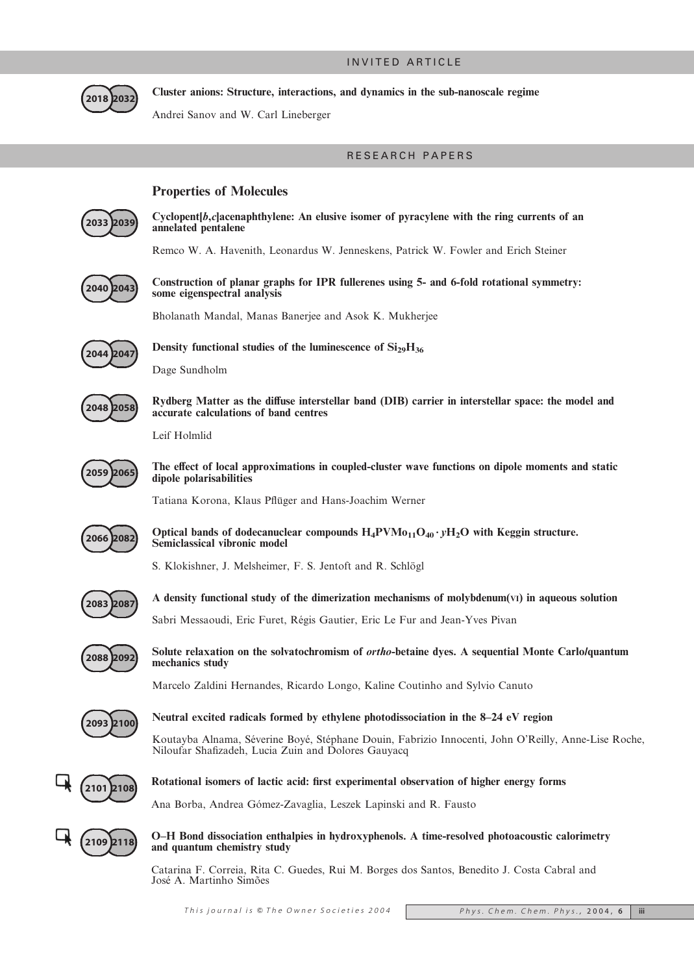## INVITED ARTICLE



Cluster anions: Structure, interactions, and dynamics in the sub-nanoscale regime

Andrei Sanov and W. Carl Lineberger

## RESEARCH PAPERS

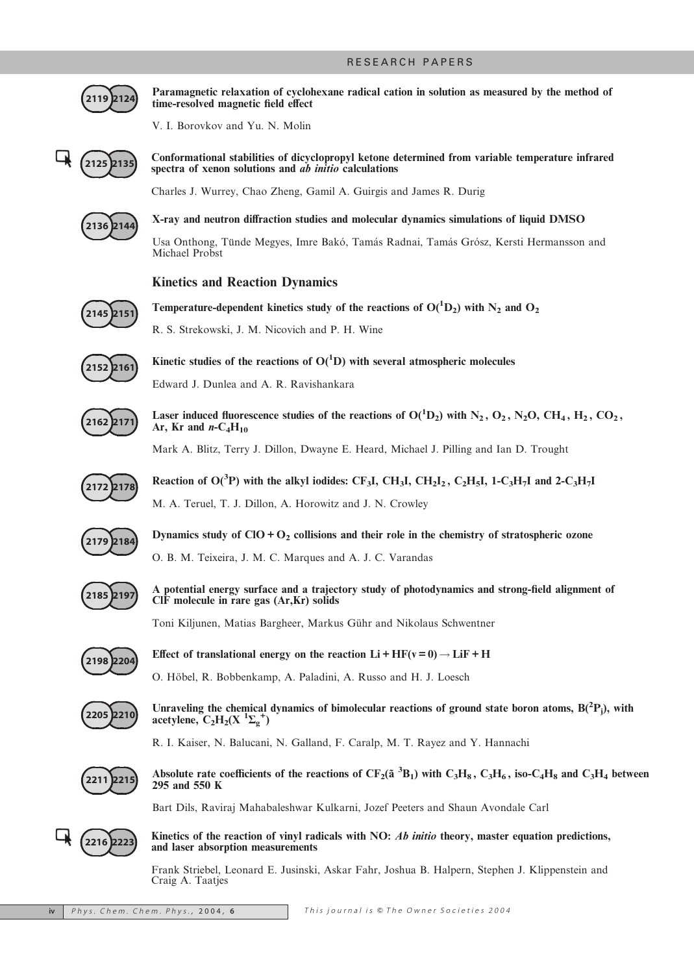

Paramagnetic relaxation of cyclohexane radical cation in solution as measured by the method of time-resolved magnetic field effect

V. I. Borovkov and Yu. N. Molin

$$
\begin{array}{c}\n\boxed{21252135}\n\end{array}
$$

Conformational stabilities of dicyclopropyl ketone determined from variable temperature infrared spectra of xenon solutions and  $\overrightarrow{ab}$  *initio* calculations

Charles J. Wurrey, Chao Zheng, Gamil A. Guirgis and James R. Durig



X-ray and neutron diffraction studies and molecular dynamics simulations of liquid DMSO Usa Onthong, Tünde Megyes, Imre Bakó, Tamás Radnai, Tamás Grósz, Kersti Hermansson and Michael Probst

## Kinetics and Reaction Dynamics



Temperature-dependent kinetics study of the reactions of  $O(^1D_2)$  with  $N_2$  and  $O_2$ 

R. S. Strekowski, J. M. Nicovich and P. H. Wine



Kinetic studies of the reactions of  $O(^1D)$  with several atmospheric molecules Edward J. Dunlea and A. R. Ravishankara



Laser induced fluorescence studies of the reactions of  $O(^1D_2)$  with  $N_2$ ,  $O_2$ ,  $N_2O$ ,  $CH_4$ ,  $H_2$ ,  $CO_2$ , Ar, Kr and  $n\text{-}C_4H_{10}$ 

Mark A. Blitz, Terry J. Dillon, Dwayne E. Heard, Michael J. Pilling and Ian D. Trought



Reaction of O(<sup>3</sup>P) with the alkyl iodides: CF<sub>3</sub>I, CH<sub>3</sub>I, CH<sub>2</sub>I<sub>2</sub>, C<sub>2</sub>H<sub>5</sub>I, 1-C<sub>3</sub>H<sub>7</sub>I and 2-C<sub>3</sub>H<sub>7</sub>I M. A. Teruel, T. J. Dillon, A. Horowitz and J. N. Crowley



Dynamics study of  $ClO + O_2$  collisions and their role in the chemistry of stratospheric ozone

O. B. M. Teixeira, J. M. C. Marques and A. J. C. Varandas



A potential energy surface and a trajectory study of photodynamics and strong-field alignment of ClF molecule in rare gas (Ar,Kr) solids

Toni Kiljunen, Matias Bargheer, Markus Gühr and Nikolaus Schwentner



Effect of translational energy on the reaction  $Li + HF(v = 0) \rightarrow LiF + H$ 

O. Höbel, R. Bobbenkamp, A. Paladini, A. Russo and H. J. Loesch



Unraveling the chemical dynamics of bimolecular reactions of ground state boron atoms,  $B(^{2}P_{j})$ , with acetylene,  $C_2H_2(X \ ^1\Sigma_g^+)$ 

R. I. Kaiser, N. Balucani, N. Galland, F. Caralp, M. T. Rayez and Y. Hannachi



Absolute rate coefficients of the reactions of  $CF_2(\tilde{a}^3B_1)$  with  $C_3H_8$ ,  $C_3H_6$ , iso- $C_4H_8$  and  $C_3H_4$  between 295 and 550 K

Bart Dils, Raviraj Mahabaleshwar Kulkarni, Jozef Peeters and Shaun Avondale Carl



Kinetics of the reaction of vinyl radicals with NO: Ab initio theory, master equation predictions, and laser absorption measurements

Frank Striebel, Leonard E. Jusinski, Askar Fahr, Joshua B. Halpern, Stephen J. Klippenstein and Craig A. Taatjes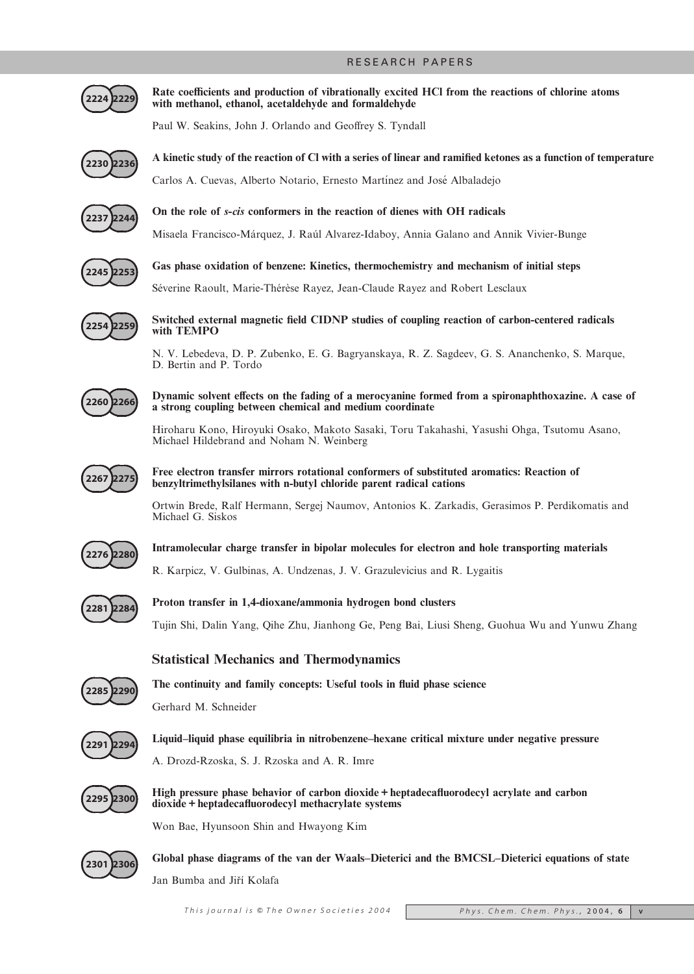

Rate coefficients and production of vibrationally excited HCl from the reactions of chlorine atoms with methanol, ethanol, acetaldehyde and formaldehyde

Paul W. Seakins, John J. Orlando and Geoffrey S. Tyndall



A kinetic study of the reaction of Cl with a series of linear and ramified ketones as a function of temperature

Carlos A. Cuevas, Alberto Notario, Ernesto Martínez and José Albaladejo



On the role of s-cis conformers in the reaction of dienes with OH radicals

Misaela Francisco-Ma´rquez, J. Rau´l Alvarez-Idaboy, Annia Galano and Annik Vivier-Bunge



Gas phase oxidation of benzene: Kinetics, thermochemistry and mechanism of initial steps

Séverine Raoult, Marie-Thérèse Rayez, Jean-Claude Rayez and Robert Lesclaux



Switched external magnetic field CIDNP studies of coupling reaction of carbon-centered radicals with TEMPO

N. V. Lebedeva, D. P. Zubenko, E. G. Bagryanskaya, R. Z. Sagdeev, G. S. Ananchenko, S. Marque, D. Bertin and P. Tordo



Dynamic solvent effects on the fading of a merocyanine formed from a spironaphthoxazine. A case of a strong coupling between chemical and medium coordinate

Hiroharu Kono, Hiroyuki Osako, Makoto Sasaki, Toru Takahashi, Yasushi Ohga, Tsutomu Asano, Michael Hildebrand and Noham N. Weinberg



### Free electron transfer mirrors rotational conformers of substituted aromatics: Reaction of benzyltrimethylsilanes with n-butyl chloride parent radical cations

Ortwin Brede, Ralf Hermann, Sergej Naumov, Antonios K. Zarkadis, Gerasimos P. Perdikomatis and Michael G. Siskos



Intramolecular charge transfer in bipolar molecules for electron and hole transporting materials

R. Karpicz, V. Gulbinas, A. Undzenas, J. V. Grazulevicius and R. Lygaitis



Proton transfer in 1,4-dioxane/ammonia hydrogen bond clusters

Tujin Shi, Dalin Yang, Qihe Zhu, Jianhong Ge, Peng Bai, Liusi Sheng, Guohua Wu and Yunwu Zhang

## Statistical Mechanics and Thermodynamics



The continuity and family concepts: Useful tools in fluid phase science

Gerhard M. Schneider



Liquid–liquid phase equilibria in nitrobenzene–hexane critical mixture under negative pressure

A. Drozd-Rzoska, S. J. Rzoska and A. R. Imre



High pressure phase behavior of carbon dioxide + heptadecafluorodecyl acrylate and carbon dioxide + heptadecafluorodecyl methacrylate systems

Won Bae, Hyunsoon Shin and Hwayong Kim



Global phase diagrams of the van der Waals–Dieterici and the BMCSL–Dieterici equations of state Jan Bumba and Jiří Kolafa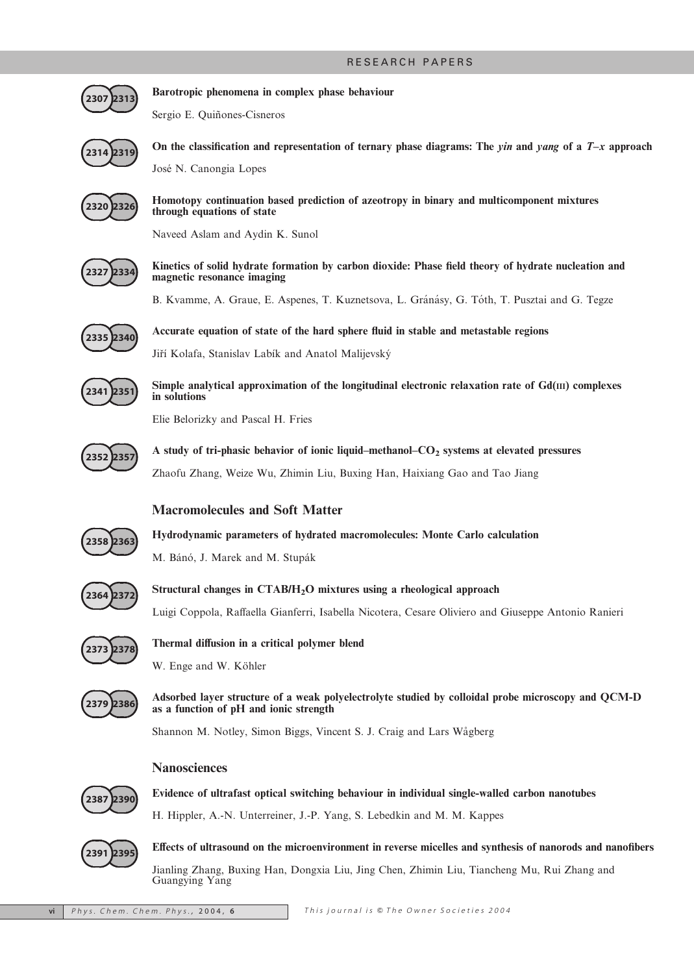

Barotropic phenomena in complex phase behaviour

Sergio E. Quiñones-Cisneros



On the classification and representation of ternary phase diagrams: The *yin* and *yang* of a  $T-x$  approach José N. Canongia Lopes

2320 2326

Homotopy continuation based prediction of azeotropy in binary and multicomponent mixtures through equations of state

Naveed Aslam and Aydin K. Sunol



Kinetics of solid hydrate formation by carbon dioxide: Phase field theory of hydrate nucleation and magnetic resonance imaging

B. Kvamme, A. Graue, E. Aspenes, T. Kuznetsova, L. Gránásy, G. Tóth, T. Pusztai and G. Tegze



Accurate equation of state of the hard sphere fluid in stable and metastable regions Jiří Kolafa, Stanislav Labík and Anatol Malijevský



Simple analytical approximation of the longitudinal electronic relaxation rate of  $Gd(III)$  complexes in solutions

Elie Belorizky and Pascal H. Fries



A study of tri-phasic behavior of ionic liquid–methanol– $CO<sub>2</sub>$  systems at elevated pressures Zhaofu Zhang, Weize Wu, Zhimin Liu, Buxing Han, Haixiang Gao and Tao Jiang

## Macromolecules and Soft Matter



Hydrodynamic parameters of hydrated macromolecules: Monte Carlo calculation

M. Bánó, J. Marek and M. Stupák



Structural changes in CTAB/H<sub>2</sub>O mixtures using a rheological approach

Luigi Coppola, Raffaella Gianferri, Isabella Nicotera, Cesare Oliviero and Giuseppe Antonio Ranieri



Thermal diffusion in a critical polymer blend

W. Enge and W. Köhler



Adsorbed layer structure of a weak polyelectrolyte studied by colloidal probe microscopy and QCM-D as a function of pH and ionic strength

Shannon M. Notley, Simon Biggs, Vincent S. J. Craig and Lars Wågberg

## **Nanosciences**



Evidence of ultrafast optical switching behaviour in individual single-walled carbon nanotubes H. Hippler, A.-N. Unterreiner, J.-P. Yang, S. Lebedkin and M. M. Kappes



Effects of ultrasound on the microenvironment in reverse micelles and synthesis of nanorods and nanofibers

Jianling Zhang, Buxing Han, Dongxia Liu, Jing Chen, Zhimin Liu, Tiancheng Mu, Rui Zhang and Guangying Yang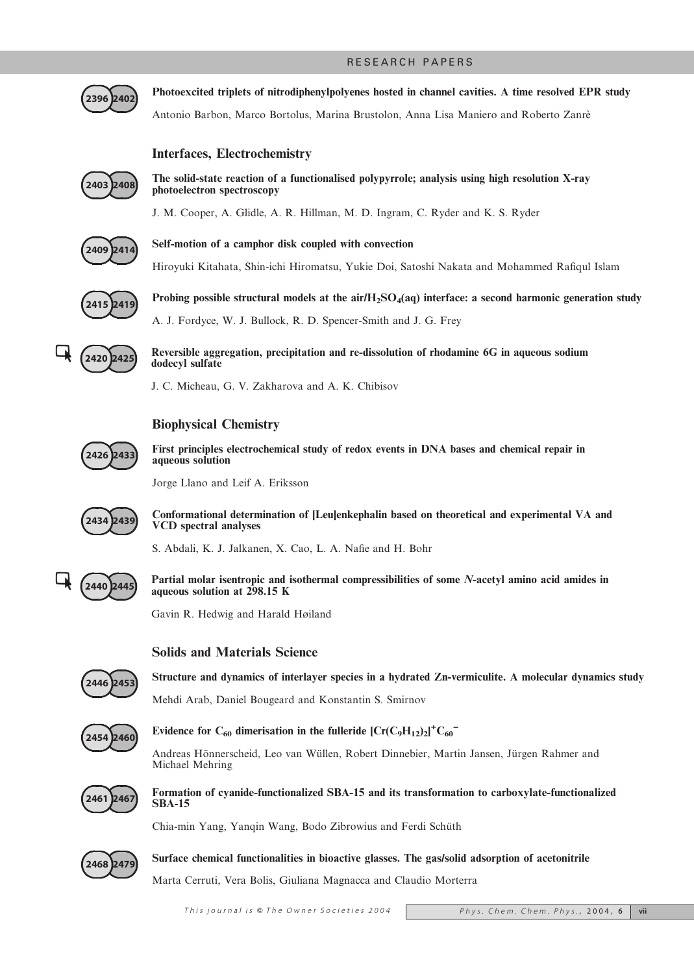

Photoexcited triplets of nitrodiphenylpolyenes hosted in channel cavities. A time resolved EPR study Antonio Barbon, Marco Bortolus, Marina Brustolon, Anna Lisa Maniero and Roberto Zanre`

## Interfaces, Electrochemistry



The solid-state reaction of a functionalised polypyrrole; analysis using high resolution X-ray photoelectron spectroscopy

J. M. Cooper, A. Glidle, A. R. Hillman, M. D. Ingram, C. Ryder and K. S. Ryder



Self-motion of a camphor disk coupled with convection

Hiroyuki Kitahata, Shin-ichi Hiromatsu, Yukie Doi, Satoshi Nakata and Mohammed Rafiqul Islam



Probing possible structural models at the air/ $H_2SO_4(aq)$  interface: a second harmonic generation study A. J. Fordyce, W. J. Bullock, R. D. Spencer-Smith and J. G. Frey



Reversible aggregation, precipitation and re-dissolution of rhodamine 6G in aqueous sodium dodecyl sulfate

J. C. Micheau, G. V. Zakharova and A. K. Chibisov

## Biophysical Chemistry



First principles electrochemical study of redox events in DNA bases and chemical repair in aqueous solution

Jorge Llano and Leif A. Eriksson



Conformational determination of [Leu]enkephalin based on theoretical and experimental VA and VCD spectral analyses

S. Abdali, K. J. Jalkanen, X. Cao, L. A. Nafie and H. Bohr



Partial molar isentropic and isothermal compressibilities of some N-acetyl amino acid amides in aqueous solution at 298.15 K

Gavin R. Hedwig and Harald Høiland

## Solids and Materials Science



Structure and dynamics of interlayer species in a hydrated Zn-vermiculite. A molecular dynamics study

Mehdi Arab, Daniel Bougeard and Konstantin S. Smirnov



## Evidence for  $C_{60}$  dimerisation in the fulleride  $[Cr(C_9H_{12})_2]^+C_{60}^-$

Andreas Hönnerscheid, Leo van Wüllen, Robert Dinnebier, Martin Jansen, Jürgen Rahmer and Michael Mehring



Formation of cyanide-functionalized SBA-15 and its transformation to carboxylate-functionalized SBA-15

Chia-min Yang, Yanqin Wang, Bodo Zibrowius and Ferdi Schüth



Surface chemical functionalities in bioactive glasses. The gas/solid adsorption of acetonitrile

Marta Cerruti, Vera Bolis, Giuliana Magnacca and Claudio Morterra